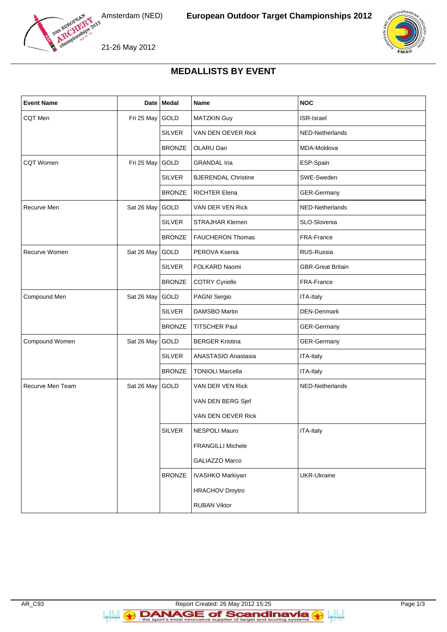





21-26 May 2012

## **MEDALLISTS BY EVENT**

| <b>Event Name</b> |            | Date   Medal  | Name                       | <b>NOC</b>               |
|-------------------|------------|---------------|----------------------------|--------------------------|
| CQT Men           | Fri 25 May | GOLD          | <b>MATZKIN Guy</b>         | <b>ISR-Israel</b>        |
|                   |            | <b>SILVER</b> | VAN DEN OEVER Rick         | NED-Netherlands          |
|                   |            | <b>BRONZE</b> | OLARU Dan                  | MDA-Moldova              |
| <b>CQT Women</b>  | Fri 25 May | GOLD          | <b>GRANDAL Iria</b>        | ESP-Spain                |
|                   |            | <b>SILVER</b> | <b>BJERENDAL Christine</b> | SWE-Sweden               |
|                   |            | <b>BRONZE</b> | <b>RICHTER Elena</b>       | <b>GER-Germany</b>       |
| Recurve Men       | Sat 26 May | GOLD          | VAN DER VEN Rick           | NED-Netherlands          |
|                   |            | <b>SILVER</b> | <b>STRAJHAR Klemen</b>     | SLO-Slovenia             |
|                   |            | <b>BRONZE</b> | <b>FAUCHERON Thomas</b>    | FRA-France               |
| Recurve Women     | Sat 26 May | GOLD          | PEROVA Ksenia              | RUS-Russia               |
|                   |            | <b>SILVER</b> | FOLKARD Naomi              | <b>GBR-Great Britain</b> |
|                   |            | <b>BRONZE</b> | <b>COTRY Cyrielle</b>      | FRA-France               |
| Compound Men      | Sat 26 May | GOLD          | PAGNI Sergio               | ITA-Italy                |
|                   |            | <b>SILVER</b> | <b>DAMSBO Martin</b>       | <b>DEN-Denmark</b>       |
|                   |            | <b>BRONZE</b> | <b>TITSCHER Paul</b>       | GER-Germany              |
| Compound Women    | Sat 26 May | GOLD          | <b>BERGER Kristina</b>     | GER-Germany              |
|                   |            | <b>SILVER</b> | ANASTASIO Anastasia        | <b>ITA-Italy</b>         |
|                   |            | <b>BRONZE</b> | <b>TONIOLI Marcella</b>    | <b>ITA-Italy</b>         |
| Recurve Men Team  | Sat 26 May | GOLD          | VAN DER VEN Rick           | NED-Netherlands          |
|                   |            |               | VAN DEN BERG Sjef          |                          |
|                   |            |               | VAN DEN OEVER Rick         |                          |
|                   |            | <b>SILVER</b> | NESPOLI Mauro              | ITA-Italy                |
|                   |            |               | <b>FRANGILLI Michele</b>   |                          |
|                   |            |               | GALIAZZO Marco             |                          |
|                   |            | <b>BRONZE</b> | <b>IVASHKO Markiyan</b>    | <b>UKR-Ukraine</b>       |
|                   |            |               | <b>HRACHOV Dmytro</b>      |                          |
|                   |            |               | <b>RUBAN Viktor</b>        |                          |

**B**<br>**i**@nseo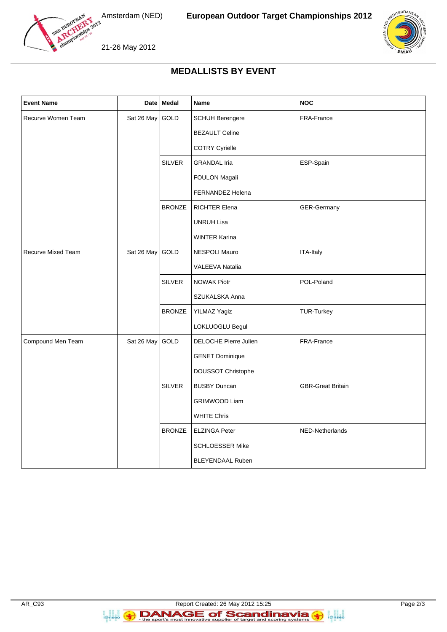



21-26 May 2012

## **MEDALLISTS BY EVENT**

| <b>Event Name</b>         |            | Date Medal    | Name                         | <b>NOC</b>               |
|---------------------------|------------|---------------|------------------------------|--------------------------|
| Recurve Women Team        | Sat 26 May | GOLD          | <b>SCHUH Berengere</b>       | FRA-France               |
|                           |            |               | <b>BEZAULT Celine</b>        |                          |
|                           |            |               | <b>COTRY Cyrielle</b>        |                          |
|                           |            | <b>SILVER</b> | <b>GRANDAL Iria</b>          | ESP-Spain                |
|                           |            |               | FOULON Magali                |                          |
|                           |            |               | FERNANDEZ Helena             |                          |
|                           |            | <b>BRONZE</b> | RICHTER Elena                | GER-Germany              |
|                           |            |               | <b>UNRUH Lisa</b>            |                          |
|                           |            |               | <b>WINTER Karina</b>         |                          |
| <b>Recurve Mixed Team</b> | Sat 26 May | GOLD          | <b>NESPOLI Mauro</b>         | ITA-Italy                |
|                           |            |               | VALEEVA Natalia              |                          |
|                           |            | <b>SILVER</b> | NOWAK Piotr                  | POL-Poland               |
|                           |            |               | SZUKALSKA Anna               |                          |
|                           |            | <b>BRONZE</b> | YILMAZ Yagiz                 | <b>TUR-Turkey</b>        |
|                           |            |               | LOKLUOGLU Begul              |                          |
| Compound Men Team         | Sat 26 May | GOLD          | <b>DELOCHE Pierre Julien</b> | FRA-France               |
|                           |            |               | <b>GENET Dominique</b>       |                          |
|                           |            |               | DOUSSOT Christophe           |                          |
|                           |            | <b>SILVER</b> | <b>BUSBY Duncan</b>          | <b>GBR-Great Britain</b> |
|                           |            |               | <b>GRIMWOOD Liam</b>         |                          |
|                           |            |               | <b>WHITE Chris</b>           |                          |
|                           |            | <b>BRONZE</b> | <b>ELZINGA Peter</b>         | NED-Netherlands          |
|                           |            |               | SCHLOESSER Mike              |                          |
|                           |            |               | <b>BLEYENDAAL Ruben</b>      |                          |

**B**<br>**i**@nseo